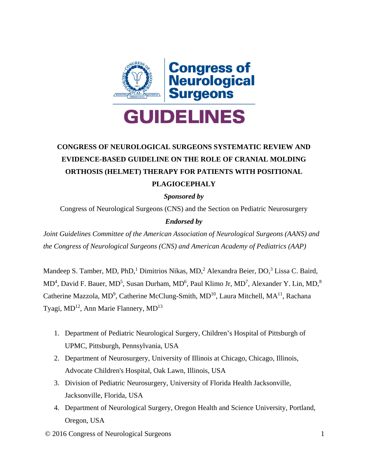

# **CONGRESS OF NEUROLOGICAL SURGEONS SYSTEMATIC REVIEW AND EVIDENCE-BASED GUIDELINE ON THE ROLE OF CRANIAL MOLDING ORTHOSIS (HELMET) THERAPY FOR PATIENTS WITH POSITIONAL PLAGIOCEPHALY**

*Sponsored by* 

Congress of Neurological Surgeons (CNS) and the Section on Pediatric Neurosurgery

## *Endorsed by*

*Joint Guidelines Committee of the American Association of Neurological Surgeons (AANS) and the Congress of Neurological Surgeons (CNS) and American Academy of Pediatrics (AAP)*

Mandeep S. Tamber, MD, PhD,<sup>1</sup> Dimitrios Nikas, MD,<sup>2</sup> Alexandra Beier, DO,<sup>3</sup> Lissa C. Baird, MD<sup>4</sup>, David F. Bauer, MD<sup>5</sup>, Susan Durham, MD<sup>6</sup>, Paul Klimo Jr, MD<sup>7</sup>, Alexander Y. Lin, MD,<sup>8</sup> Catherine Mazzola, MD<sup>9</sup>, Catherine McClung-Smith, MD<sup>10</sup>, Laura Mitchell, MA<sup>11</sup>, Rachana Tyagi, MD<sup>12</sup>, Ann Marie Flannery, MD<sup>13</sup>

- 1. Department of Pediatric Neurological Surgery, Children's Hospital of Pittsburgh of UPMC, Pittsburgh, Pennsylvania, USA
- 2. Department of Neurosurgery, University of Illinois at Chicago, Chicago, Illinois, Advocate Children's Hospital, Oak Lawn, Illinois, USA
- 3. Division of Pediatric Neurosurgery, University of Florida Health Jacksonville, Jacksonville, Florida, USA
- 4. Department of Neurological Surgery, Oregon Health and Science University, Portland, Oregon, USA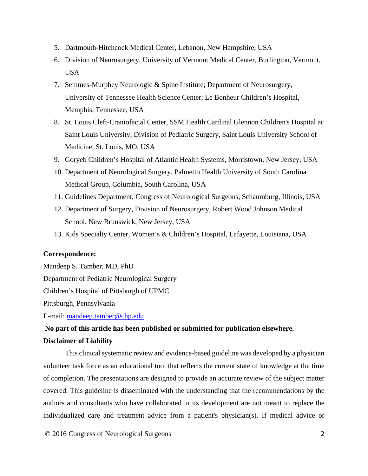- 5. Dartmouth-Hitchcock Medical Center, Lebanon, New Hampshire, USA
- 6. Division of Neurosurgery, University of Vermont Medical Center, Burlington, Vermont, USA
- 7. Semmes-Murphey Neurologic & Spine Institute; Department of Neurosurgery, University of Tennessee Health Science Center; Le Bonheur Children's Hospital, Memphis, Tennessee, USA
- 8. St. Louis Cleft-Craniofacial Center, SSM Health Cardinal Glennon Children's Hospital at Saint Louis University, Division of Pediatric Surgery, Saint Louis University School of Medicine, St. Louis, MO, USA
- 9. Goryeb Children's Hospital of Atlantic Health Systems, Morristown, New Jersey, USA
- 10. Department of Neurological Surgery, Palmetto Health University of South Carolina Medical Group, Columbia, South Carolina, USA
- 11. Guidelines Department, Congress of Neurological Surgeons, Schaumburg, Illinois, USA
- 12. Department of Surgery, Division of Neurosurgery, Robert Wood Johnson Medical School, New Brunswick, New Jersey, USA
- 13. Kids Specialty Center, Women's & Children's Hospital, Lafayette, Louisiana, USA

#### **Correspondence:**

Mandeep S. Tamber, MD, PhD Department of Pediatric Neurological Surgery Children's Hospital of Pittsburgh of UPMC Pittsburgh, Pennsylvania

E-mail: [mandeep.tamber@chp.edu](mailto:mandeep.tamber@chp.edu)

## **No part of this article has been published or submitted for publication elsewhere.**

#### **Disclaimer of Liability**

This clinical systematic review and evidence-based guideline was developed by a physician volunteer task force as an educational tool that reflects the current state of knowledge at the time of completion. The presentations are designed to provide an accurate review of the subject matter covered. This guideline is disseminated with the understanding that the recommendations by the authors and consultants who have collaborated in its development are not meant to replace the individualized care and treatment advice from a patient's physician(s). If medical advice or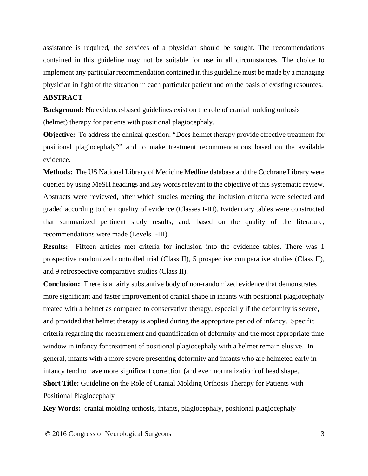assistance is required, the services of a physician should be sought. The recommendations contained in this guideline may not be suitable for use in all circumstances. The choice to implement any particular recommendation contained in this guideline must be made by a managing physician in light of the situation in each particular patient and on the basis of existing resources.

#### **ABSTRACT**

**Background:** No evidence-based guidelines exist on the role of cranial molding orthosis (helmet) therapy for patients with positional plagiocephaly.

**Objective:** To address the clinical question: "Does helmet therapy provide effective treatment for positional plagiocephaly?" and to make treatment recommendations based on the available evidence.

**Methods:** The US National Library of Medicine Medline database and the Cochrane Library were queried by using MeSH headings and key words relevant to the objective of this systematic review. Abstracts were reviewed, after which studies meeting the inclusion criteria were selected and graded according to their quality of evidence (Classes I-III). Evidentiary tables were constructed that summarized pertinent study results, and, based on the quality of the literature, recommendations were made (Levels I-III).

**Results:** Fifteen articles met criteria for inclusion into the evidence tables. There was 1 prospective randomized controlled trial (Class II), 5 prospective comparative studies (Class II), and 9 retrospective comparative studies (Class II).

**Conclusion:** There is a fairly substantive body of non-randomized evidence that demonstrates more significant and faster improvement of cranial shape in infants with positional plagiocephaly treated with a helmet as compared to conservative therapy, especially if the deformity is severe, and provided that helmet therapy is applied during the appropriate period of infancy. Specific criteria regarding the measurement and quantification of deformity and the most appropriate time window in infancy for treatment of positional plagiocephaly with a helmet remain elusive. In general, infants with a more severe presenting deformity and infants who are helmeted early in infancy tend to have more significant correction (and even normalization) of head shape. **Short Title:** Guideline on the Role of Cranial Molding Orthosis Therapy for Patients with

Positional Plagiocephaly

**Key Words:** cranial molding orthosis, infants, plagiocephaly, positional plagiocephaly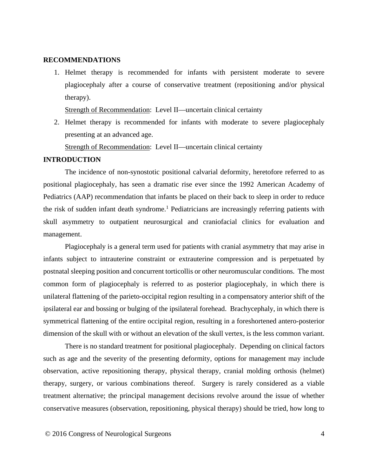#### **RECOMMENDATIONS**

1. Helmet therapy is recommended for infants with persistent moderate to severe plagiocephaly after a course of conservative treatment (repositioning and/or physical therapy).

Strength of Recommendation:Level II—uncertain clinical certainty

2. Helmet therapy is recommended for infants with moderate to severe plagiocephaly presenting at an advanced age.

Strength of Recommendation:Level II—uncertain clinical certainty

### **INTRODUCTION**

The incidence of non-synostotic positional calvarial deformity, heretofore referred to as positional plagiocephaly, has seen a dramatic rise ever since the 1992 American Academy of Pediatrics (AAP) recommendation that infants be placed on their back to sleep in order to reduce the risk of sudden infant death syndrome. [1](#page-13-0) Pediatricians are increasingly referring patients with skull asymmetry to outpatient neurosurgical and craniofacial clinics for evaluation and management.

Plagiocephaly is a general term used for patients with cranial asymmetry that may arise in infants subject to intrauterine constraint or extrauterine compression and is perpetuated by postnatal sleeping position and concurrent torticollis or other neuromuscular conditions. The most common form of plagiocephaly is referred to as posterior plagiocephaly, in which there is unilateral flattening of the parieto-occipital region resulting in a compensatory anterior shift of the ipsilateral ear and bossing or bulging of the ipsilateral forehead. Brachycephaly, in which there is symmetrical flattening of the entire occipital region, resulting in a foreshortened antero-posterior dimension of the skull with or without an elevation of the skull vertex, is the less common variant.

There is no standard treatment for positional plagiocephaly. Depending on clinical factors such as age and the severity of the presenting deformity, options for management may include observation, active repositioning therapy, physical therapy, cranial molding orthosis (helmet) therapy, surgery, or various combinations thereof. Surgery is rarely considered as a viable treatment alternative; the principal management decisions revolve around the issue of whether conservative measures (observation, repositioning, physical therapy) should be tried, how long to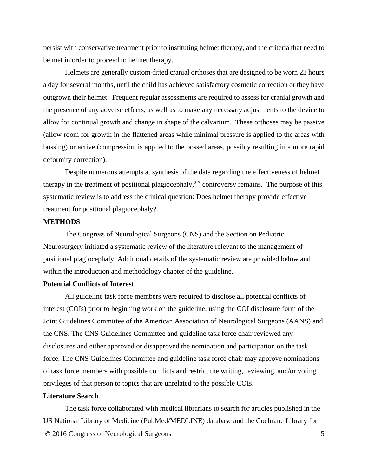persist with conservative treatment prior to instituting helmet therapy, and the criteria that need to be met in order to proceed to helmet therapy.

Helmets are generally custom-fitted cranial orthoses that are designed to be worn 23 hours a day for several months, until the child has achieved satisfactory cosmetic correction or they have outgrown their helmet. Frequent regular assessments are required to assess for cranial growth and the presence of any adverse effects, as well as to make any necessary adjustments to the device to allow for continual growth and change in shape of the calvarium. These orthoses may be passive (allow room for growth in the flattened areas while minimal pressure is applied to the areas with bossing) or active (compression is applied to the bossed areas, possibly resulting in a more rapid deformity correction).

Despite numerous attempts at synthesis of the data regarding the effectiveness of helmet therapy in the treatment of positional plagiocephaly,<sup>[2-7](#page-13-1)</sup> controversy remains. The purpose of this systematic review is to address the clinical question: Does helmet therapy provide effective treatment for positional plagiocephaly?

#### **METHODS**

The Congress of Neurological Surgeons (CNS) and the Section on Pediatric Neurosurgery initiated a systematic review of the literature relevant to the management of positional plagiocephaly. Additional details of the systematic review are provided below and within the introduction and methodology chapter of the guideline.

#### **Potential Conflicts of Interest**

All guideline task force members were required to disclose all potential conflicts of interest (COIs) prior to beginning work on the guideline, using the COI disclosure form of the Joint Guidelines Committee of the American Association of Neurological Surgeons (AANS) and the CNS. The CNS Guidelines Committee and guideline task force chair reviewed any disclosures and either approved or disapproved the nomination and participation on the task force. The CNS Guidelines Committee and guideline task force chair may approve nominations of task force members with possible conflicts and restrict the writing, reviewing, and/or voting privileges of that person to topics that are unrelated to the possible COIs.

#### **Literature Search**

© 2016 Congress of Neurological Surgeons 5 The task force collaborated with medical librarians to search for articles published in the US National Library of Medicine (PubMed/MEDLINE) database and the Cochrane Library for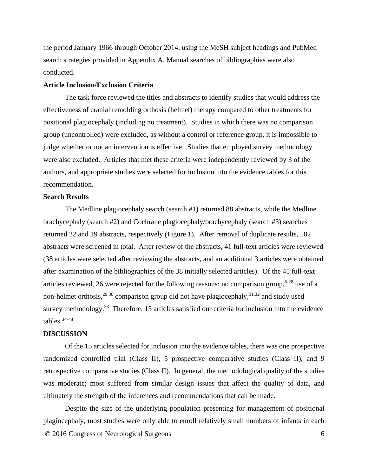the period January 1966 through October 2014, using the MeSH subject headings and PubMed search strategies provided in [Appendix A.](#page-31-0) Manual searches of bibliographies were also conducted.

#### **Article Inclusion/Exclusion Criteria**

The task force reviewed the titles and abstracts to identify studies that would address the effectiveness of cranial remolding orthosis (helmet) therapy compared to other treatments for positional plagiocephaly (including no treatment). Studies in which there was no comparison group (uncontrolled) were excluded, as without a control or reference group, it is impossible to judge whether or not an intervention is effective. Studies that employed survey methodology were also excluded. Articles that met these criteria were independently reviewed by 3 of the authors, and appropriate studies were selected for inclusion into the evidence tables for this recommendation.

#### **Search Results**

The Medline plagiocephaly search (search #1) returned 88 abstracts, while the Medline brachycephaly (search #2) and Cochrane plagiocephaly/brachycephaly (search #3) searches returned 22 and 19 abstracts, respectively (Figure 1). After removal of duplicate results, 102 abstracts were screened in total. After review of the abstracts, 41 full-text articles were reviewed (38 articles were selected after reviewing the abstracts, and an additional 3 articles were obtained after examination of the bibliographies of the 38 initially selected articles). Of the 41 full-text articles reviewed, 26 were rejected for the following reasons: no comparison group, $8-28$  use of a non-helmet orthosis,<sup>[29,](#page-14-0)[30](#page-14-1)</sup> comparison group did not have plagiocephaly,<sup>[31,](#page-14-2)[32](#page-14-3)</sup> and study used survey methodology.<sup>[33](#page-14-4)</sup> Therefore, 15 articles satisfied our criteria for inclusion into the evidence tables. [34-48](#page-15-0)

#### **DISCUSSION**

Of the 15 articles selected for inclusion into the evidence tables, there was one prospective randomized controlled trial (Class II), 5 prospective comparative studies (Class II), and 9 retrospective comparative studies (Class II). In general, the methodological quality of the studies was moderate; most suffered from similar design issues that affect the quality of data, and ultimately the strength of the inferences and recommendations that can be made.

© 2016 Congress of Neurological Surgeons 6 Despite the size of the underlying population presenting for management of positional plagiocephaly, most studies were only able to enroll relatively small numbers of infants in each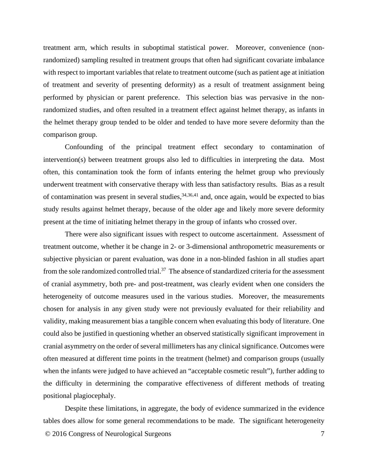treatment arm, which results in suboptimal statistical power. Moreover, convenience (nonrandomized) sampling resulted in treatment groups that often had significant covariate imbalance with respect to important variables that relate to treatment outcome (such as patient age at initiation of treatment and severity of presenting deformity) as a result of treatment assignment being performed by physician or parent preference. This selection bias was pervasive in the nonrandomized studies, and often resulted in a treatment effect against helmet therapy, as infants in the helmet therapy group tended to be older and tended to have more severe deformity than the comparison group.

Confounding of the principal treatment effect secondary to contamination of intervention(s) between treatment groups also led to difficulties in interpreting the data. Most often, this contamination took the form of infants entering the helmet group who previously underwent treatment with conservative therapy with less than satisfactory results. Bias as a result of contamination was present in several studies,  $34,36,41$  $34,36,41$  $34,36,41$  and, once again, would be expected to bias study results against helmet therapy, because of the older age and likely more severe deformity present at the time of initiating helmet therapy in the group of infants who crossed over.

There were also significant issues with respect to outcome ascertainment. Assessment of treatment outcome, whether it be change in 2- or 3-dimensional anthropometric measurements or subjective physician or parent evaluation, was done in a non-blinded fashion in all studies apart from the sole randomized controlled trial.<sup>37</sup> The absence of standardized criteria for the assessment of cranial asymmetry, both pre- and post-treatment, was clearly evident when one considers the heterogeneity of outcome measures used in the various studies. Moreover, the measurements chosen for analysis in any given study were not previously evaluated for their reliability and validity, making measurement bias a tangible concern when evaluating this body of literature. One could also be justified in questioning whether an observed statistically significant improvement in cranial asymmetry on the order of several millimeters has any clinical significance. Outcomes were often measured at different time points in the treatment (helmet) and comparison groups (usually when the infants were judged to have achieved an "acceptable cosmetic result"), further adding to the difficulty in determining the comparative effectiveness of different methods of treating positional plagiocephaly.

© 2016 Congress of Neurological Surgeons 7 Despite these limitations, in aggregate, the body of evidence summarized in the evidence tables does allow for some general recommendations to be made. The significant heterogeneity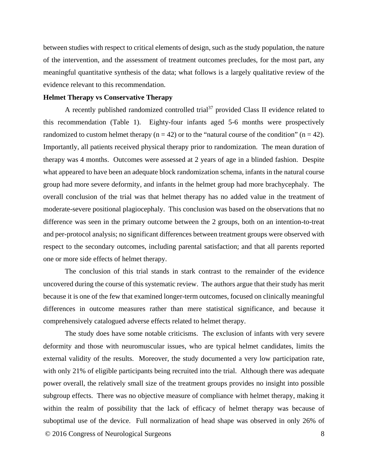between studies with respect to critical elements of design, such as the study population, the nature of the intervention, and the assessment of treatment outcomes precludes, for the most part, any meaningful quantitative synthesis of the data; what follows is a largely qualitative review of the evidence relevant to this recommendation.

### **Helmet Therapy vs Conservative Therapy**

A recently published randomized controlled trial<sup>37</sup> provided Class II evidence related to this recommendation [\(Table 1\)](#page-16-0). Eighty-four infants aged 5-6 months were prospectively randomized to custom helmet therapy ( $n = 42$ ) or to the "natural course of the condition" ( $n = 42$ ). Importantly, all patients received physical therapy prior to randomization. The mean duration of therapy was 4 months. Outcomes were assessed at 2 years of age in a blinded fashion. Despite what appeared to have been an adequate block randomization schema, infants in the natural course group had more severe deformity, and infants in the helmet group had more brachycephaly. The overall conclusion of the trial was that helmet therapy has no added value in the treatment of moderate-severe positional plagiocephaly. This conclusion was based on the observations that no difference was seen in the primary outcome between the 2 groups, both on an intention-to-treat and per-protocol analysis; no significant differences between treatment groups were observed with respect to the secondary outcomes, including parental satisfaction; and that all parents reported one or more side effects of helmet therapy.

The conclusion of this trial stands in stark contrast to the remainder of the evidence uncovered during the course of this systematic review. The authors argue that their study has merit because it is one of the few that examined longer-term outcomes, focused on clinically meaningful differences in outcome measures rather than mere statistical significance, and because it comprehensively catalogued adverse effects related to helmet therapy.

© 2016 Congress of Neurological Surgeons 8 The study does have some notable criticisms. The exclusion of infants with very severe deformity and those with neuromuscular issues, who are typical helmet candidates, limits the external validity of the results. Moreover, the study documented a very low participation rate, with only 21% of eligible participants being recruited into the trial. Although there was adequate power overall, the relatively small size of the treatment groups provides no insight into possible subgroup effects. There was no objective measure of compliance with helmet therapy, making it within the realm of possibility that the lack of efficacy of helmet therapy was because of suboptimal use of the device. Full normalization of head shape was observed in only 26% of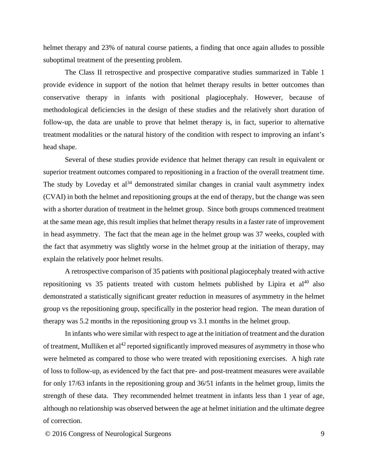helmet therapy and 23% of natural course patients, a finding that once again alludes to possible suboptimal treatment of the presenting problem.

The Class II retrospective and prospective comparative studies summarized in [Table 1](#page-16-0) provide evidence in support of the notion that helmet therapy results in better outcomes than conservative therapy in infants with positional plagiocephaly. However, because of methodological deficiencies in the design of these studies and the relatively short duration of follow-up, the data are unable to prove that helmet therapy is, in fact, superior to alternative treatment modalities or the natural history of the condition with respect to improving an infant's head shape.

Several of these studies provide evidence that helmet therapy can result in equivalent or superior treatment outcomes compared to repositioning in a fraction of the overall treatment time. The study by Loveday et  $al^{34}$  $al^{34}$  $al^{34}$  demonstrated similar changes in cranial vault asymmetry index (CVAI) in both the helmet and repositioning groups at the end of therapy, but the change was seen with a shorter duration of treatment in the helmet group. Since both groups commenced treatment at the same mean age, this result implies that helmet therapy results in a faster rate of improvement in head asymmetry. The fact that the mean age in the helmet group was 37 weeks, coupled with the fact that asymmetry was slightly worse in the helmet group at the initiation of therapy, may explain the relatively poor helmet results.

A retrospective comparison of 35 patients with positional plagiocephaly treated with active repositioning vs 35 patients treated with custom helmets published by Lipira et  $al^{40}$  $al^{40}$  $al^{40}$  also demonstrated a statistically significant greater reduction in measures of asymmetry in the helmet group vs the repositioning group, specifically in the posterior head region. The mean duration of therapy was 5.2 months in the repositioning group vs 3.1 months in the helmet group.

In infants who were similar with respect to age at the initiation of treatment and the duration of treatment, Mulliken et al<sup>[42](#page-15-5)</sup> reported significantly improved measures of asymmetry in those who were helmeted as compared to those who were treated with repositioning exercises. A high rate of loss to follow-up, as evidenced by the fact that pre- and post-treatment measures were available for only 17/63 infants in the repositioning group and 36/51 infants in the helmet group, limits the strength of these data. They recommended helmet treatment in infants less than 1 year of age, although no relationship was observed between the age at helmet initiation and the ultimate degree of correction.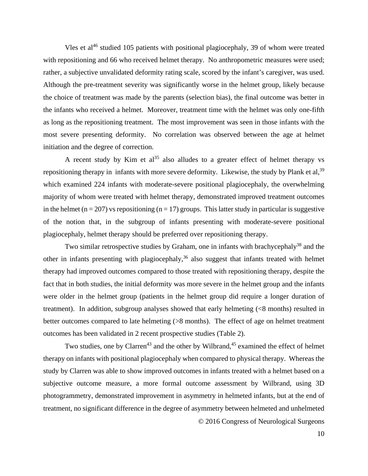Vles et al<sup>46</sup> studied 105 patients with positional plagiocephaly, 39 of whom were treated with repositioning and 66 who received helmet therapy. No anthropometric measures were used; rather, a subjective unvalidated deformity rating scale, scored by the infant's caregiver, was used. Although the pre-treatment severity was significantly worse in the helmet group, likely because the choice of treatment was made by the parents (selection bias), the final outcome was better in the infants who received a helmet. Moreover, treatment time with the helmet was only one-fifth as long as the repositioning treatment. The most improvement was seen in those infants with the most severe presenting deformity. No correlation was observed between the age at helmet initiation and the degree of correction.

A recent study by Kim et al<sup>[35](#page-15-7)</sup> also alludes to a greater effect of helmet therapy vs repositioning therapy in infants with more severe deformity. Likewise, the study by Plank et al,<sup>[39](#page-15-8)</sup> which examined 224 infants with moderate-severe positional plagiocephaly, the overwhelming majority of whom were treated with helmet therapy, demonstrated improved treatment outcomes in the helmet ( $n = 207$ ) vs repositioning ( $n = 17$ ) groups. This latter study in particular is suggestive of the notion that, in the subgroup of infants presenting with moderate-severe positional plagiocephaly, helmet therapy should be preferred over repositioning therapy.

Two similar retrospective studies by Graham, one in infants with brachycephaly<sup>38</sup> and the other in infants presenting with plagiocephaly, [36](#page-15-1) also suggest that infants treated with helmet therapy had improved outcomes compared to those treated with repositioning therapy, despite the fact that in both studies, the initial deformity was more severe in the helmet group and the infants were older in the helmet group (patients in the helmet group did require a longer duration of treatment). In addition, subgroup analyses showed that early helmeting (<8 months) resulted in better outcomes compared to late helmeting (>8 months). The effect of age on helmet treatment outcomes has been validated in 2 recent prospective studies [\(Table 2\)](#page-29-0).

© 2016 Congress of Neurological Surgeons Two studies, one by Clarren<sup>43</sup> and the other by Wilbrand,<sup>[45](#page-15-11)</sup> examined the effect of helmet therapy on infants with positional plagiocephaly when compared to physical therapy. Whereas the study by Clarren was able to show improved outcomes in infants treated with a helmet based on a subjective outcome measure, a more formal outcome assessment by Wilbrand, using 3D photogrammetry, demonstrated improvement in asymmetry in helmeted infants, but at the end of treatment, no significant difference in the degree of asymmetry between helmeted and unhelmeted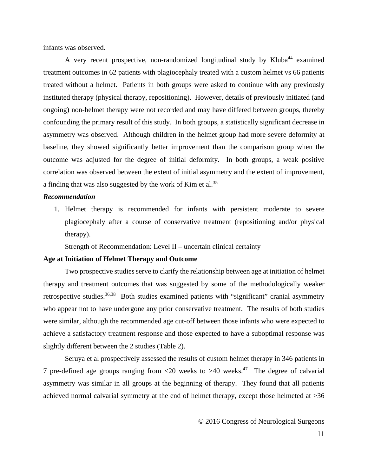infants was observed.

A very recent prospective, non-randomized longitudinal study by Kluba<sup>[44](#page-15-12)</sup> examined treatment outcomes in 62 patients with plagiocephaly treated with a custom helmet vs 66 patients treated without a helmet. Patients in both groups were asked to continue with any previously instituted therapy (physical therapy, repositioning). However, details of previously initiated (and ongoing) non-helmet therapy were not recorded and may have differed between groups, thereby confounding the primary result of this study. In both groups, a statistically significant decrease in asymmetry was observed. Although children in the helmet group had more severe deformity at baseline, they showed significantly better improvement than the comparison group when the outcome was adjusted for the degree of initial deformity. In both groups, a weak positive correlation was observed between the extent of initial asymmetry and the extent of improvement, a finding that was also suggested by the work of Kim et al.<sup>[35](#page-15-7)</sup>

#### *Recommendation*

1. Helmet therapy is recommended for infants with persistent moderate to severe plagiocephaly after a course of conservative treatment (repositioning and/or physical therapy).

Strength of Recommendation: Level II – uncertain clinical certainty

#### **Age at Initiation of Helmet Therapy and Outcome**

Two prospective studies serve to clarify the relationship between age at initiation of helmet therapy and treatment outcomes that was suggested by some of the methodologically weaker retrospective studies.<sup>[36,](#page-15-1)38</sup> Both studies examined patients with "significant" cranial asymmetry who appear not to have undergone any prior conservative treatment. The results of both studies were similar, although the recommended age cut-off between those infants who were expected to achieve a satisfactory treatment response and those expected to have a suboptimal response was slightly different between the 2 studies [\(Table 2\)](#page-29-0).

Seruya et al prospectively assessed the results of custom helmet therapy in 346 patients in 7 pre-defined age groups ranging from  $\langle 20 \rangle$  weeks to  $>40$  weeks.<sup>47</sup> The degree of calvarial asymmetry was similar in all groups at the beginning of therapy. They found that all patients achieved normal calvarial symmetry at the end of helmet therapy, except those helmeted at >36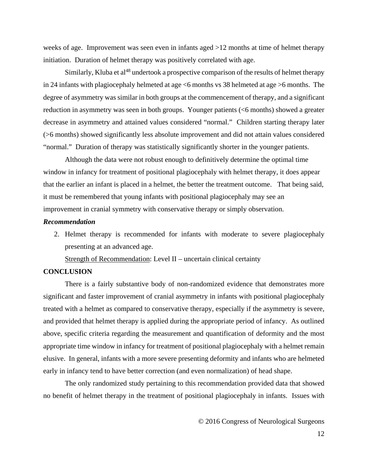weeks of age. Improvement was seen even in infants aged >12 months at time of helmet therapy initiation. Duration of helmet therapy was positively correlated with age.

Similarly, Kluba et al<sup>[48](#page-15-14)</sup> undertook a prospective comparison of the results of helmet therapy in 24 infants with plagiocephaly helmeted at age <6 months vs 38 helmeted at age >6 months. The degree of asymmetry was similar in both groups at the commencement of therapy, and a significant reduction in asymmetry was seen in both groups. Younger patients (<6 months) showed a greater decrease in asymmetry and attained values considered "normal." Children starting therapy later (>6 months) showed significantly less absolute improvement and did not attain values considered "normal." Duration of therapy was statistically significantly shorter in the younger patients.

Although the data were not robust enough to definitively determine the optimal time window in infancy for treatment of positional plagiocephaly with helmet therapy, it does appear that the earlier an infant is placed in a helmet, the better the treatment outcome. That being said, it must be remembered that young infants with positional plagiocephaly may see an improvement in cranial symmetry with conservative therapy or simply observation.

## *Recommendation*

2. Helmet therapy is recommended for infants with moderate to severe plagiocephaly presenting at an advanced age.

Strength of Recommendation: Level II – uncertain clinical certainty

## **CONCLUSION**

There is a fairly substantive body of non-randomized evidence that demonstrates more significant and faster improvement of cranial asymmetry in infants with positional plagiocephaly treated with a helmet as compared to conservative therapy, especially if the asymmetry is severe, and provided that helmet therapy is applied during the appropriate period of infancy. As outlined above, specific criteria regarding the measurement and quantification of deformity and the most appropriate time window in infancy for treatment of positional plagiocephaly with a helmet remain elusive. In general, infants with a more severe presenting deformity and infants who are helmeted early in infancy tend to have better correction (and even normalization) of head shape.

The only randomized study pertaining to this recommendation provided data that showed no benefit of helmet therapy in the treatment of positional plagiocephaly in infants. Issues with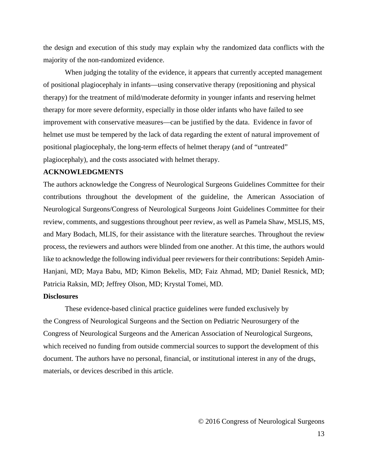the design and execution of this study may explain why the randomized data conflicts with the majority of the non-randomized evidence.

When judging the totality of the evidence, it appears that currently accepted management of positional plagiocephaly in infants—using conservative therapy (repositioning and physical therapy) for the treatment of mild/moderate deformity in younger infants and reserving helmet therapy for more severe deformity, especially in those older infants who have failed to see improvement with conservative measures—can be justified by the data. Evidence in favor of helmet use must be tempered by the lack of data regarding the extent of natural improvement of positional plagiocephaly, the long-term effects of helmet therapy (and of "untreated" plagiocephaly), and the costs associated with helmet therapy.

#### **ACKNOWLEDGMENTS**

The authors acknowledge the Congress of Neurological Surgeons Guidelines Committee for their contributions throughout the development of the guideline, the American Association of Neurological Surgeons/Congress of Neurological Surgeons Joint Guidelines Committee for their review, comments, and suggestions throughout peer review, as well as Pamela Shaw, MSLIS, MS, and Mary Bodach, MLIS, for their assistance with the literature searches. Throughout the review process, the reviewers and authors were blinded from one another. At this time, the authors would like to acknowledge the following individual peer reviewers for their contributions: Sepideh Amin-Hanjani, MD; Maya Babu, MD; Kimon Bekelis, MD; Faiz Ahmad, MD; Daniel Resnick, MD; Patricia Raksin, MD; Jeffrey Olson, MD; Krystal Tomei, MD.

#### **Disclosures**

These evidence-based clinical practice guidelines were funded exclusively by the Congress of Neurological Surgeons and the Section on Pediatric Neurosurgery of the Congress of Neurological Surgeons and the American Association of Neurological Surgeons, which received no funding from outside commercial sources to support the development of this document. The authors have no personal, financial, or institutional interest in any of the drugs, materials, or devices described in this article.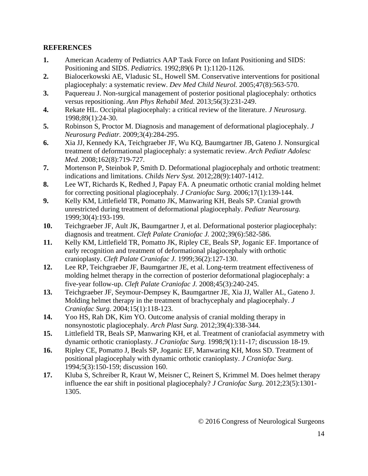## **REFERENCES**

- <span id="page-13-0"></span>**1.** American Academy of Pediatrics AAP Task Force on Infant Positioning and SIDS: Positioning and SIDS. *Pediatrics.* 1992;89(6 Pt 1):1120-1126.
- <span id="page-13-1"></span>**2.** Bialocerkowski AE, Vladusic SL, Howell SM. Conservative interventions for positional plagiocephaly: a systematic review. *Dev Med Child Neurol.* 2005;47(8):563-570.
- **3.** Paquereau J. Non-surgical management of posterior positional plagiocephaly: orthotics versus repositioning. *Ann Phys Rehabil Med.* 2013;56(3):231-249.
- **4.** Rekate HL. Occipital plagiocephaly: a critical review of the literature. *J Neurosurg.*  1998;89(1):24-30.
- **5.** Robinson S, Proctor M. Diagnosis and management of deformational plagiocephaly. *J Neurosurg Pediatr.* 2009;3(4):284-295.
- **6.** Xia JJ, Kennedy KA, Teichgraeber JF, Wu KQ, Baumgartner JB, Gateno J. Nonsurgical treatment of deformational plagiocephaly: a systematic review. *Arch Pediatr Adolesc Med.* 2008;162(8):719-727.
- **7.** Mortenson P, Steinbok P, Smith D. Deformational plagiocephaly and orthotic treatment: indications and limitations. *Childs Nerv Syst.* 2012;28(9):1407-1412.
- <span id="page-13-2"></span>**8.** Lee WT, Richards K, Redhed J, Papay FA. A pneumatic orthotic cranial molding helmet for correcting positional plagiocephaly. *J Craniofac Surg.* 2006;17(1):139-144.
- **9.** Kelly KM, Littlefield TR, Pomatto JK, Manwaring KH, Beals SP. Cranial growth unrestricted during treatment of deformational plagiocephaly. *Pediatr Neurosurg.*  1999;30(4):193-199.
- **10.** Teichgraeber JF, Ault JK, Baumgartner J, et al. Deformational posterior plagiocephaly: diagnosis and treatment. *Cleft Palate Craniofac J.* 2002;39(6):582-586.
- **11.** Kelly KM, Littlefield TR, Pomatto JK, Ripley CE, Beals SP, Joganic EF. Importance of early recognition and treatment of deformational plagiocephaly with orthotic cranioplasty. *Cleft Palate Craniofac J.* 1999;36(2):127-130.
- **12.** Lee RP, Teichgraeber JF, Baumgartner JE, et al. Long-term treatment effectiveness of molding helmet therapy in the correction of posterior deformational plagiocephaly: a five-year follow-up. *Cleft Palate Craniofac J.* 2008;45(3):240-245.
- **13.** Teichgraeber JF, Seymour-Dempsey K, Baumgartner JE, Xia JJ, Waller AL, Gateno J. Molding helmet therapy in the treatment of brachycephaly and plagiocephaly. *J Craniofac Surg.* 2004;15(1):118-123.
- **14.** Yoo HS, Rah DK, Kim YO. Outcome analysis of cranial molding therapy in nonsynostotic plagiocephaly. *Arch Plast Surg.* 2012;39(4):338-344.
- **15.** Littlefield TR, Beals SP, Manwaring KH, et al. Treatment of craniofacial asymmetry with dynamic orthotic cranioplasty. *J Craniofac Surg.* 1998;9(1):11-17; discussion 18-19.
- **16.** Ripley CE, Pomatto J, Beals SP, Joganic EF, Manwaring KH, Moss SD. Treatment of positional plagiocephaly with dynamic orthotic cranioplasty. *J Craniofac Surg.*  1994;5(3):150-159; discussion 160.
- **17.** Kluba S, Schreiber R, Kraut W, Meisner C, Reinert S, Krimmel M. Does helmet therapy influence the ear shift in positional plagiocephaly? *J Craniofac Surg.* 2012;23(5):1301- 1305.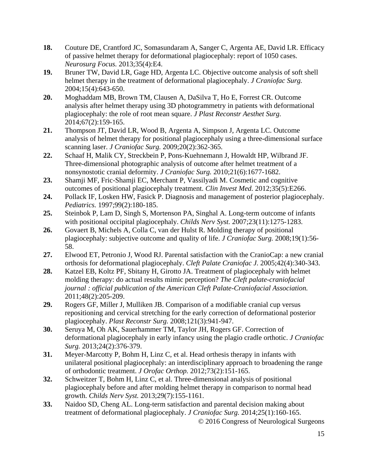- **18.** Couture DE, Crantford JC, Somasundaram A, Sanger C, Argenta AE, David LR. Efficacy of passive helmet therapy for deformational plagiocephaly: report of 1050 cases. *Neurosurg Focus.* 2013;35(4):E4.
- **19.** Bruner TW, David LR, Gage HD, Argenta LC. Objective outcome analysis of soft shell helmet therapy in the treatment of deformational plagiocephaly. *J Craniofac Surg.*  2004;15(4):643-650.
- **20.** Moghaddam MB, Brown TM, Clausen A, DaSilva T, Ho E, Forrest CR. Outcome analysis after helmet therapy using 3D photogrammetry in patients with deformational plagiocephaly: the role of root mean square. *J Plast Reconstr Aesthet Surg.*  2014;67(2):159-165.
- **21.** Thompson JT, David LR, Wood B, Argenta A, Simpson J, Argenta LC. Outcome analysis of helmet therapy for positional plagiocephaly using a three-dimensional surface scanning laser. *J Craniofac Surg.* 2009;20(2):362-365.
- **22.** Schaaf H, Malik CY, Streckbein P, Pons-Kuehnemann J, Howaldt HP, Wilbrand JF. Three-dimensional photographic analysis of outcome after helmet treatment of a nonsynostotic cranial deformity. *J Craniofac Surg.* 2010;21(6):1677-1682.
- **23.** Shamji MF, Fric-Shamji EC, Merchant P, Vassilyadi M. Cosmetic and cognitive outcomes of positional plagiocephaly treatment. *Clin Invest Med.* 2012;35(5):E266.
- **24.** Pollack IF, Losken HW, Fasick P. Diagnosis and management of posterior plagiocephaly. *Pediatrics.* 1997;99(2):180-185.
- **25.** Steinbok P, Lam D, Singh S, Mortenson PA, Singhal A. Long-term outcome of infants with positional occipital plagiocephaly. *Childs Nerv Syst.* 2007;23(11):1275-1283.
- **26.** Govaert B, Michels A, Colla C, van der Hulst R. Molding therapy of positional plagiocephaly: subjective outcome and quality of life. *J Craniofac Surg.* 2008;19(1):56- 58.
- **27.** Elwood ET, Petronio J, Wood RJ. Parental satisfaction with the CranioCap: a new cranial orthosis for deformational plagiocephaly. *Cleft Palate Craniofac J.* 2005;42(4):340-343.
- **28.** Katzel EB, Koltz PF, Sbitany H, Girotto JA. Treatment of plagiocephaly with helmet molding therapy: do actual results mimic perception? *The Cleft palate-craniofacial journal : official publication of the American Cleft Palate-Craniofacial Association.*  2011;48(2):205-209.
- <span id="page-14-0"></span>**29.** Rogers GF, Miller J, Mulliken JB. Comparison of a modifiable cranial cup versus repositioning and cervical stretching for the early correction of deformational posterior plagiocephaly. *Plast Reconstr Surg.* 2008;121(3):941-947.
- <span id="page-14-1"></span>**30.** Seruya M, Oh AK, Sauerhammer TM, Taylor JH, Rogers GF. Correction of deformational plagiocephaly in early infancy using the plagio cradle orthotic. *J Craniofac Surg.* 2013;24(2):376-379.
- <span id="page-14-2"></span>**31.** Meyer-Marcotty P, Bohm H, Linz C, et al. Head orthesis therapy in infants with unilateral positional plagiocephaly: an interdisciplinary approach to broadening the range of orthodontic treatment. *J Orofac Orthop.* 2012;73(2):151-165.
- <span id="page-14-3"></span>**32.** Schweitzer T, Bohm H, Linz C, et al. Three-dimensional analysis of positional plagiocephaly before and after molding helmet therapy in comparison to normal head growth. *Childs Nerv Syst.* 2013;29(7):155-1161.
- <span id="page-14-4"></span>**33.** Naidoo SD, Cheng AL. Long-term satisfaction and parental decision making about treatment of deformational plagiocephaly. *J Craniofac Surg.* 2014;25(1):160-165.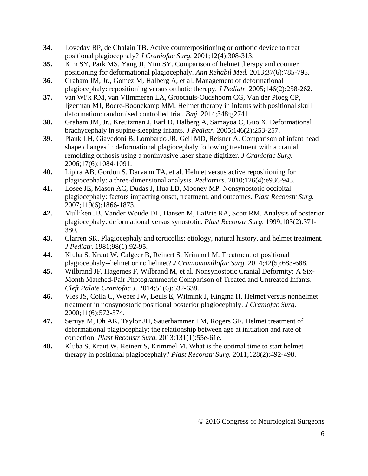- <span id="page-15-0"></span>**34.** Loveday BP, de Chalain TB. Active counterpositioning or orthotic device to treat positional plagiocephaly? *J Craniofac Surg.* 2001;12(4):308-313.
- <span id="page-15-7"></span>**35.** Kim SY, Park MS, Yang JI, Yim SY. Comparison of helmet therapy and counter positioning for deformational plagiocephaly. *Ann Rehabil Med.* 2013;37(6):785-795.
- <span id="page-15-1"></span>**36.** Graham JM, Jr., Gomez M, Halberg A, et al. Management of deformational plagiocephaly: repositioning versus orthotic therapy. *J Pediatr.* 2005;146(2):258-262.
- <span id="page-15-3"></span>**37.** van Wijk RM, van Vlimmeren LA, Groothuis-Oudshoorn CG, Van der Ploeg CP, Ijzerman MJ, Boere-Boonekamp MM. Helmet therapy in infants with positional skull deformation: randomised controlled trial. *Bmj.* 2014;348:g2741.
- <span id="page-15-9"></span>**38.** Graham JM, Jr., Kreutzman J, Earl D, Halberg A, Samayoa C, Guo X. Deformational brachycephaly in supine-sleeping infants. *J Pediatr.* 2005;146(2):253-257.
- <span id="page-15-8"></span>**39.** Plank LH, Giavedoni B, Lombardo JR, Geil MD, Reisner A. Comparison of infant head shape changes in deformational plagiocephaly following treatment with a cranial remolding orthosis using a noninvasive laser shape digitizer. *J Craniofac Surg.*  2006;17(6):1084-1091.
- <span id="page-15-4"></span>**40.** Lipira AB, Gordon S, Darvann TA, et al. Helmet versus active repositioning for plagiocephaly: a three-dimensional analysis. *Pediatrics.* 2010;126(4):e936-945.
- <span id="page-15-2"></span>**41.** Losee JE, Mason AC, Dudas J, Hua LB, Mooney MP. Nonsynostotic occipital plagiocephaly: factors impacting onset, treatment, and outcomes. *Plast Reconstr Surg.*  2007;119(6):1866-1873.
- <span id="page-15-5"></span>**42.** Mulliken JB, Vander Woude DL, Hansen M, LaBrie RA, Scott RM. Analysis of posterior plagiocephaly: deformational versus synostotic. *Plast Reconstr Surg.* 1999;103(2):371- 380.
- <span id="page-15-10"></span>**43.** Clarren SK. Plagiocephaly and torticollis: etiology, natural history, and helmet treatment. *J Pediatr.* 1981;98(1):92-95.
- <span id="page-15-12"></span>**44.** Kluba S, Kraut W, Calgeer B, Reinert S, Krimmel M. Treatment of positional plagiocephaly--helmet or no helmet? *J Craniomaxillofac Surg.* 2014;42(5):683-688.
- <span id="page-15-11"></span>**45.** Wilbrand JF, Hagemes F, Wilbrand M, et al. Nonsynostotic Cranial Deformity: A Six-Month Matched-Pair Photogrammetric Comparison of Treated and Untreated Infants. *Cleft Palate Craniofac J.* 2014;51(6):632-638.
- <span id="page-15-6"></span>**46.** Vles JS, Colla C, Weber JW, Beuls E, Wilmink J, Kingma H. Helmet versus nonhelmet treatment in nonsynostotic positional posterior plagiocephaly. *J Craniofac Surg.*  2000;11(6):572-574.
- <span id="page-15-13"></span>**47.** Seruya M, Oh AK, Taylor JH, Sauerhammer TM, Rogers GF. Helmet treatment of deformational plagiocephaly: the relationship between age at initiation and rate of correction. *Plast Reconstr Surg.* 2013;131(1):55e-61e.
- <span id="page-15-14"></span>**48.** Kluba S, Kraut W, Reinert S, Krimmel M. What is the optimal time to start helmet therapy in positional plagiocephaly? *Plast Reconstr Surg.* 2011;128(2):492-498.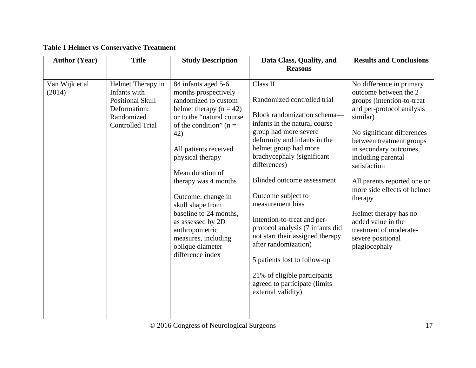<span id="page-16-0"></span>

| <b>Author (Year)</b>     | <b>Title</b>                                                                                                          | <b>Study Description</b>                                                                                                                                                                                                                                                                                                                                                                                                              | Data Class, Quality, and                                                                                                                                                                                                                                                                                                                                                                                                                                                                                                                                                     | <b>Results and Conclusions</b>                                                                                                                                                                                                                                                                                                                                                                                                              |
|--------------------------|-----------------------------------------------------------------------------------------------------------------------|---------------------------------------------------------------------------------------------------------------------------------------------------------------------------------------------------------------------------------------------------------------------------------------------------------------------------------------------------------------------------------------------------------------------------------------|------------------------------------------------------------------------------------------------------------------------------------------------------------------------------------------------------------------------------------------------------------------------------------------------------------------------------------------------------------------------------------------------------------------------------------------------------------------------------------------------------------------------------------------------------------------------------|---------------------------------------------------------------------------------------------------------------------------------------------------------------------------------------------------------------------------------------------------------------------------------------------------------------------------------------------------------------------------------------------------------------------------------------------|
|                          |                                                                                                                       |                                                                                                                                                                                                                                                                                                                                                                                                                                       | <b>Reasons</b>                                                                                                                                                                                                                                                                                                                                                                                                                                                                                                                                                               |                                                                                                                                                                                                                                                                                                                                                                                                                                             |
| Van Wijk et al<br>(2014) | Helmet Therapy in<br>Infants with<br><b>Positional Skull</b><br>Deformation:<br>Randomized<br><b>Controlled Trial</b> | 84 infants aged 5-6<br>months prospectively<br>randomized to custom<br>helmet therapy $(n = 42)$<br>or to the "natural course"<br>of the condition" ( $n =$<br>42)<br>All patients received<br>physical therapy<br>Mean duration of<br>therapy was 4 months<br>Outcome: change in<br>skull shape from<br>baseline to 24 months,<br>as assessed by 2D<br>anthropometric<br>measures, including<br>oblique diameter<br>difference index | Class II<br>Randomized controlled trial<br>Block randomization schema-<br>infants in the natural course<br>group had more severe<br>deformity and infants in the<br>helmet group had more<br>brachycephaly (significant<br>differences)<br><b>Blinded outcome assessment</b><br>Outcome subject to<br>measurement bias<br>Intention-to-treat and per-<br>protocol analysis (7 infants did<br>not start their assigned therapy<br>after randomization)<br>5 patients lost to follow-up<br>21% of eligible participants<br>agreed to participate (limits<br>external validity) | No difference in primary<br>outcome between the 2<br>groups (intention-to-treat)<br>and per-protocol analysis<br>similar)<br>No significant differences<br>between treatment groups<br>in secondary outcomes,<br>including parental<br>satisfaction<br>All parents reported one or<br>more side effects of helmet<br>therapy<br>Helmet therapy has no<br>added value in the<br>treatment of moderate-<br>severe positional<br>plagiocephaly |

# **Table 1 Helmet vs Conservative Treatment**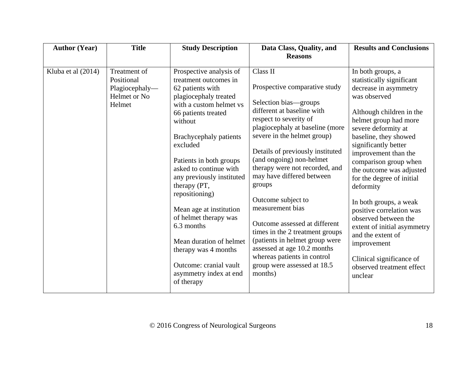| <b>Author (Year)</b> | <b>Title</b>                                                           | <b>Study Description</b>                                                                                                                                                                                                                                                                                                                                                                                                                                                                                    | Data Class, Quality, and<br><b>Reasons</b>                                                                                                                                                                                                                                                                                                                                                                                                                                                                                                                                                    | <b>Results and Conclusions</b>                                                                                                                                                                                                                                                                                                                                                                                                                                                                                                                                   |
|----------------------|------------------------------------------------------------------------|-------------------------------------------------------------------------------------------------------------------------------------------------------------------------------------------------------------------------------------------------------------------------------------------------------------------------------------------------------------------------------------------------------------------------------------------------------------------------------------------------------------|-----------------------------------------------------------------------------------------------------------------------------------------------------------------------------------------------------------------------------------------------------------------------------------------------------------------------------------------------------------------------------------------------------------------------------------------------------------------------------------------------------------------------------------------------------------------------------------------------|------------------------------------------------------------------------------------------------------------------------------------------------------------------------------------------------------------------------------------------------------------------------------------------------------------------------------------------------------------------------------------------------------------------------------------------------------------------------------------------------------------------------------------------------------------------|
| Kluba et al (2014)   | Treatment of<br>Positional<br>Plagiocephaly-<br>Helmet or No<br>Helmet | Prospective analysis of<br>treatment outcomes in<br>62 patients with<br>plagiocephaly treated<br>with a custom helmet vs<br>66 patients treated<br>without<br>Brachycephaly patients<br>excluded<br>Patients in both groups<br>asked to continue with<br>any previously instituted<br>therapy (PT,<br>repositioning)<br>Mean age at institution<br>of helmet therapy was<br>6.3 months<br>Mean duration of helmet<br>therapy was 4 months<br>Outcome: cranial vault<br>asymmetry index at end<br>of therapy | Class II<br>Prospective comparative study<br>Selection bias-groups<br>different at baseline with<br>respect to severity of<br>plagiocephaly at baseline (more<br>severe in the helmet group)<br>Details of previously instituted<br>(and ongoing) non-helmet<br>therapy were not recorded, and<br>may have differed between<br>groups<br>Outcome subject to<br>measurement bias<br>Outcome assessed at different<br>times in the 2 treatment groups<br>(patients in helmet group were<br>assessed at age 10.2 months<br>whereas patients in control<br>group were assessed at 18.5<br>months) | In both groups, a<br>statistically significant<br>decrease in asymmetry<br>was observed<br>Although children in the<br>helmet group had more<br>severe deformity at<br>baseline, they showed<br>significantly better<br>improvement than the<br>comparison group when<br>the outcome was adjusted<br>for the degree of initial<br>deformity<br>In both groups, a weak<br>positive correlation was<br>observed between the<br>extent of initial asymmetry<br>and the extent of<br>improvement<br>Clinical significance of<br>observed treatment effect<br>unclear |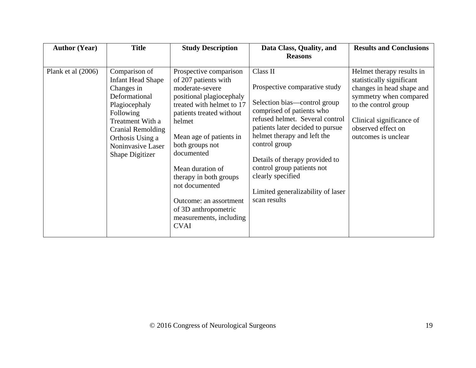| <b>Author (Year)</b> | <b>Title</b>                                                                                                                                                                                                       | <b>Study Description</b>                                                                                                                                                                                                                                                                                                                                                                 | Data Class, Quality, and                                                                                                                                                                                                                                                                                                                                                | <b>Results and Conclusions</b>                                                                                                                                                                                 |
|----------------------|--------------------------------------------------------------------------------------------------------------------------------------------------------------------------------------------------------------------|------------------------------------------------------------------------------------------------------------------------------------------------------------------------------------------------------------------------------------------------------------------------------------------------------------------------------------------------------------------------------------------|-------------------------------------------------------------------------------------------------------------------------------------------------------------------------------------------------------------------------------------------------------------------------------------------------------------------------------------------------------------------------|----------------------------------------------------------------------------------------------------------------------------------------------------------------------------------------------------------------|
|                      |                                                                                                                                                                                                                    |                                                                                                                                                                                                                                                                                                                                                                                          | <b>Reasons</b>                                                                                                                                                                                                                                                                                                                                                          |                                                                                                                                                                                                                |
| Plank et al $(2006)$ | Comparison of<br><b>Infant Head Shape</b><br>Changes in<br>Deformational<br>Plagiocephaly<br>Following<br>Treatment With a<br><b>Cranial Remolding</b><br>Orthosis Using a<br>Noninvasive Laser<br>Shape Digitizer | Prospective comparison<br>of 207 patients with<br>moderate-severe<br>positional plagiocephaly<br>treated with helmet to 17<br>patients treated without<br>helmet<br>Mean age of patients in<br>both groups not<br>documented<br>Mean duration of<br>therapy in both groups<br>not documented<br>Outcome: an assortment<br>of 3D anthropometric<br>measurements, including<br><b>CVAI</b> | Class II<br>Prospective comparative study<br>Selection bias—control group<br>comprised of patients who<br>refused helmet. Several control<br>patients later decided to pursue<br>helmet therapy and left the<br>control group<br>Details of therapy provided to<br>control group patients not<br>clearly specified<br>Limited generalizability of laser<br>scan results | Helmet therapy results in<br>statistically significant<br>changes in head shape and<br>symmetry when compared<br>to the control group<br>Clinical significance of<br>observed effect on<br>outcomes is unclear |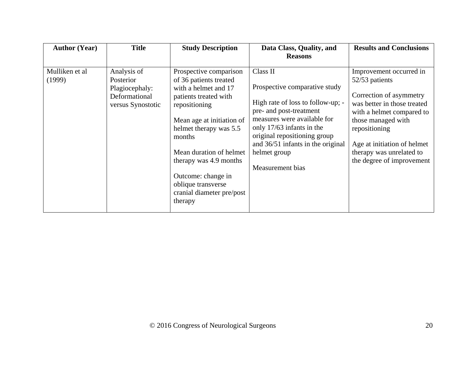| <b>Author (Year)</b>     | <b>Title</b>                                                                     | <b>Study Description</b>                                                                                                                                                                                                                                                                                                     | Data Class, Quality, and<br><b>Reasons</b>                                                                                                                                                                                                                                     | <b>Results and Conclusions</b>                                                                                                                                                                                                                                  |
|--------------------------|----------------------------------------------------------------------------------|------------------------------------------------------------------------------------------------------------------------------------------------------------------------------------------------------------------------------------------------------------------------------------------------------------------------------|--------------------------------------------------------------------------------------------------------------------------------------------------------------------------------------------------------------------------------------------------------------------------------|-----------------------------------------------------------------------------------------------------------------------------------------------------------------------------------------------------------------------------------------------------------------|
| Mulliken et al<br>(1999) | Analysis of<br>Posterior<br>Plagiocephaly:<br>Deformational<br>versus Synostotic | Prospective comparison<br>of 36 patients treated<br>with a helmet and 17<br>patients treated with<br>repositioning<br>Mean age at initiation of<br>helmet therapy was 5.5<br>months<br>Mean duration of helmet<br>therapy was 4.9 months<br>Outcome: change in<br>oblique transverse<br>cranial diameter pre/post<br>therapy | Class II<br>Prospective comparative study<br>High rate of loss to follow-up; -<br>pre- and post-treatment<br>measures were available for<br>only 17/63 infants in the<br>original repositioning group<br>and 36/51 infants in the original<br>helmet group<br>Measurement bias | Improvement occurred in<br>52/53 patients<br>Correction of asymmetry<br>was better in those treated<br>with a helmet compared to<br>those managed with<br>repositioning<br>Age at initiation of helmet<br>therapy was unrelated to<br>the degree of improvement |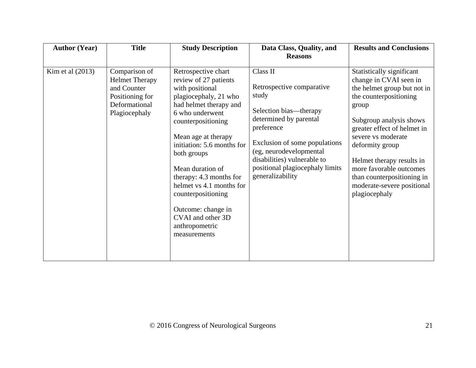| <b>Author (Year)</b> | <b>Title</b>                                                                                               | <b>Study Description</b>                                                                                                                                                                                                                                                                                                                                                                                      | Data Class, Quality, and<br><b>Reasons</b>                                                                                                                                                                                                                         | <b>Results and Conclusions</b>                                                                                                                                                                                                                                                                                                                                |
|----------------------|------------------------------------------------------------------------------------------------------------|---------------------------------------------------------------------------------------------------------------------------------------------------------------------------------------------------------------------------------------------------------------------------------------------------------------------------------------------------------------------------------------------------------------|--------------------------------------------------------------------------------------------------------------------------------------------------------------------------------------------------------------------------------------------------------------------|---------------------------------------------------------------------------------------------------------------------------------------------------------------------------------------------------------------------------------------------------------------------------------------------------------------------------------------------------------------|
| Kim et al $(2013)$   | Comparison of<br><b>Helmet Therapy</b><br>and Counter<br>Positioning for<br>Deformational<br>Plagiocephaly | Retrospective chart<br>review of 27 patients<br>with positional<br>plagiocephaly, 21 who<br>had helmet therapy and<br>6 who underwent<br>counterpositioning<br>Mean age at therapy<br>initiation: 5.6 months for<br>both groups<br>Mean duration of<br>therapy: 4.3 months for<br>helmet vs 4.1 months for<br>counterpositioning<br>Outcome: change in<br>CVAI and other 3D<br>anthropometric<br>measurements | Class II<br>Retrospective comparative<br>study<br>Selection bias—therapy<br>determined by parental<br>preference<br>Exclusion of some populations<br>(eg, neurodevelopmental<br>disabilities) vulnerable to<br>positional plagiocephaly limits<br>generalizability | Statistically significant<br>change in CVAI seen in<br>the helmet group but not in<br>the counterpositioning<br>group<br>Subgroup analysis shows<br>greater effect of helmet in<br>severe vs moderate<br>deformity group<br>Helmet therapy results in<br>more favorable outcomes<br>than counterpositioning in<br>moderate-severe positional<br>plagiocephaly |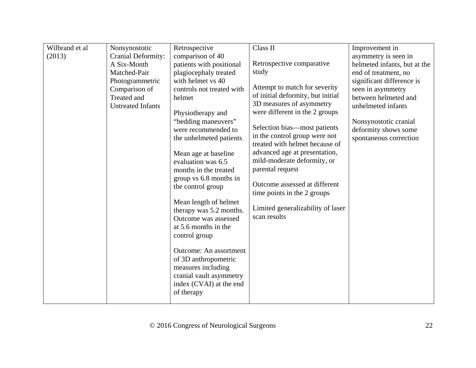| Wilbrand et al | Nonsynostotic             | Retrospective                         | Class II                          | Improvement in               |
|----------------|---------------------------|---------------------------------------|-----------------------------------|------------------------------|
| (2013)         | <b>Cranial Deformity:</b> | comparison of 40                      |                                   | asymmetry is seen in         |
|                | A Six-Month               | patients with positional              | Retrospective comparative         | helmeted infants, but at the |
|                | Matched-Pair              | plagiocephaly treated                 | study                             | end of treatment, no         |
|                | Photogrammetric           | with helmet vs 40                     |                                   | significant difference is    |
|                | Comparison of             | controls not treated with             | Attempt to match for severity     | seen in asymmetry            |
|                | Treated and               | helmet                                | of initial deformity, but initial | between helmeted and         |
|                | <b>Untreated Infants</b>  |                                       | 3D measures of asymmetry          | unhelmeted infants           |
|                |                           | Physiotherapy and                     | were different in the 2 groups    |                              |
|                |                           | "bedding maneuvers"                   | Selection bias—most patients      | Nonsynostotic cranial        |
|                |                           | were recommended to                   | in the control group were not     | deformity shows some         |
|                |                           | the unhelmeted patients               | treated with helmet because of    | spontaneous correction       |
|                |                           | Mean age at baseline                  | advanced age at presentation,     |                              |
|                |                           | evaluation was 6.5                    | mild-moderate deformity, or       |                              |
|                |                           | months in the treated                 | parental request                  |                              |
|                |                           | group vs 6.8 months in                |                                   |                              |
|                |                           | the control group                     | Outcome assessed at different     |                              |
|                |                           |                                       | time points in the 2 groups       |                              |
|                |                           | Mean length of helmet                 |                                   |                              |
|                |                           | therapy was 5.2 months.               | Limited generalizability of laser |                              |
|                |                           | Outcome was assessed                  | scan results                      |                              |
|                |                           | at 5.6 months in the                  |                                   |                              |
|                |                           | control group                         |                                   |                              |
|                |                           |                                       |                                   |                              |
|                |                           | <b>Outcome:</b> An assortment         |                                   |                              |
|                |                           | of 3D anthropometric                  |                                   |                              |
|                |                           | measures including                    |                                   |                              |
|                |                           | cranial vault asymmetry               |                                   |                              |
|                |                           | index (CVAI) at the end<br>of therapy |                                   |                              |
|                |                           |                                       |                                   |                              |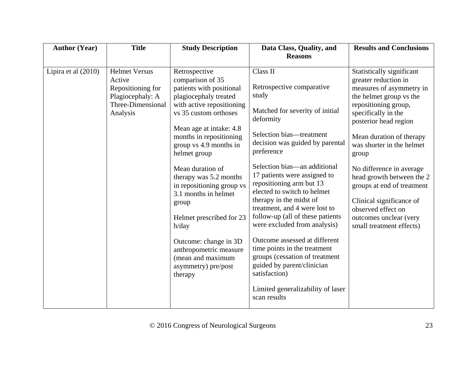| <b>Author (Year)</b> | <b>Title</b>                                                                                             | <b>Study Description</b>                                                                                                                                                                                                                                | Data Class, Quality, and                                                                                                                                                                                                                                                                                                                                                                                                                                       | <b>Results and Conclusions</b>                                                                                                                                                                                                                     |
|----------------------|----------------------------------------------------------------------------------------------------------|---------------------------------------------------------------------------------------------------------------------------------------------------------------------------------------------------------------------------------------------------------|----------------------------------------------------------------------------------------------------------------------------------------------------------------------------------------------------------------------------------------------------------------------------------------------------------------------------------------------------------------------------------------------------------------------------------------------------------------|----------------------------------------------------------------------------------------------------------------------------------------------------------------------------------------------------------------------------------------------------|
|                      |                                                                                                          |                                                                                                                                                                                                                                                         | <b>Reasons</b>                                                                                                                                                                                                                                                                                                                                                                                                                                                 |                                                                                                                                                                                                                                                    |
| Lipira et al (2010)  | <b>Helmet Versus</b><br>Active<br>Repositioning for<br>Plagiocephaly: A<br>Three-Dimensional<br>Analysis | Retrospective<br>comparison of 35<br>patients with positional<br>plagiocephaly treated<br>with active repositioning<br>vs 35 custom orthoses<br>Mean age at intake: 4.8<br>months in repositioning<br>group vs 4.9 months in<br>helmet group            | Class II<br>Retrospective comparative<br>study<br>Matched for severity of initial<br>deformity<br>Selection bias—treatment<br>decision was guided by parental<br>preference                                                                                                                                                                                                                                                                                    | Statistically significant<br>greater reduction in<br>measures of asymmetry in<br>the helmet group vs the<br>repositioning group,<br>specifically in the<br>posterior head region<br>Mean duration of therapy<br>was shorter in the helmet<br>group |
|                      |                                                                                                          | Mean duration of<br>therapy was 5.2 months<br>in repositioning group vs<br>3.1 months in helmet<br>group<br>Helmet prescribed for 23<br>h/day<br>Outcome: change in 3D<br>anthropometric measure<br>(mean and maximum<br>asymmetry) pre/post<br>therapy | Selection bias—an additional<br>17 patients were assigned to<br>repositioning arm but 13<br>elected to switch to helmet<br>therapy in the midst of<br>treatment, and 4 were lost to<br>follow-up (all of these patients<br>were excluded from analysis)<br>Outcome assessed at different<br>time points in the treatment<br>groups (cessation of treatment<br>guided by parent/clinician<br>satisfaction)<br>Limited generalizability of laser<br>scan results | No difference in average<br>head growth between the 2<br>groups at end of treatment<br>Clinical significance of<br>observed effect on<br>outcomes unclear (very<br>small treatment effects)                                                        |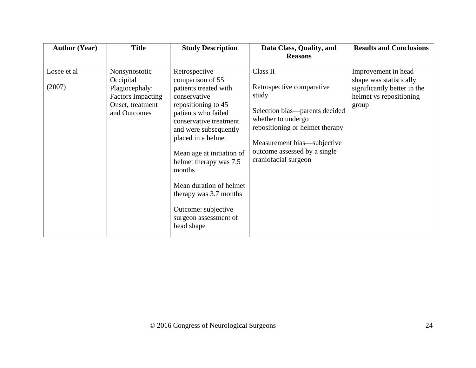| <b>Author (Year)</b>  | <b>Title</b>                                                                                                 | <b>Study Description</b>                                                                                                                                                                                                                                                                                                                                                              | Data Class, Quality, and                                                                                                                                                                                                         | <b>Results and Conclusions</b>                                                                                    |
|-----------------------|--------------------------------------------------------------------------------------------------------------|---------------------------------------------------------------------------------------------------------------------------------------------------------------------------------------------------------------------------------------------------------------------------------------------------------------------------------------------------------------------------------------|----------------------------------------------------------------------------------------------------------------------------------------------------------------------------------------------------------------------------------|-------------------------------------------------------------------------------------------------------------------|
|                       |                                                                                                              |                                                                                                                                                                                                                                                                                                                                                                                       | <b>Reasons</b>                                                                                                                                                                                                                   |                                                                                                                   |
| Losee et al<br>(2007) | Nonsynostotic<br>Occipital<br>Plagiocephaly:<br><b>Factors Impacting</b><br>Onset, treatment<br>and Outcomes | Retrospective<br>comparison of 55<br>patients treated with<br>conservative<br>repositioning to 45<br>patients who failed<br>conservative treatment<br>and were subsequently<br>placed in a helmet<br>Mean age at initiation of<br>helmet therapy was 7.5<br>months<br>Mean duration of helmet<br>therapy was 3.7 months<br>Outcome: subjective<br>surgeon assessment of<br>head shape | Class II<br>Retrospective comparative<br>study<br>Selection bias—parents decided<br>whether to undergo<br>repositioning or helmet therapy<br>Measurement bias—subjective<br>outcome assessed by a single<br>craniofacial surgeon | Improvement in head<br>shape was statistically<br>significantly better in the<br>helmet vs repositioning<br>group |
|                       |                                                                                                              |                                                                                                                                                                                                                                                                                                                                                                                       |                                                                                                                                                                                                                                  |                                                                                                                   |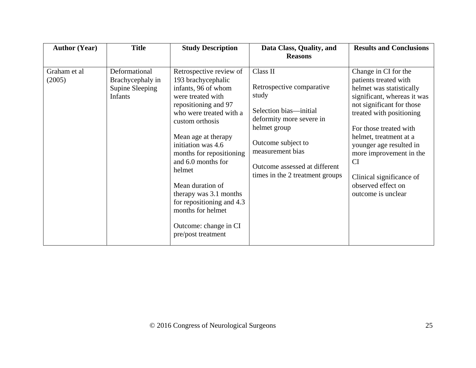| <b>Author (Year)</b>   | <b>Title</b>                                                    | <b>Study Description</b>                                                                                                                                                                                                                                                                                                                                                                                                | Data Class, Quality, and                                                                                                                                                                                                           | <b>Results and Conclusions</b>                                                                                                                                                                                                                                                                                                                                   |
|------------------------|-----------------------------------------------------------------|-------------------------------------------------------------------------------------------------------------------------------------------------------------------------------------------------------------------------------------------------------------------------------------------------------------------------------------------------------------------------------------------------------------------------|------------------------------------------------------------------------------------------------------------------------------------------------------------------------------------------------------------------------------------|------------------------------------------------------------------------------------------------------------------------------------------------------------------------------------------------------------------------------------------------------------------------------------------------------------------------------------------------------------------|
|                        |                                                                 |                                                                                                                                                                                                                                                                                                                                                                                                                         | <b>Reasons</b>                                                                                                                                                                                                                     |                                                                                                                                                                                                                                                                                                                                                                  |
| Graham et al<br>(2005) | Deformational<br>Brachycephaly in<br>Supine Sleeping<br>Infants | Retrospective review of<br>193 brachycephalic<br>infants, 96 of whom<br>were treated with<br>repositioning and 97<br>who were treated with a<br>custom orthosis<br>Mean age at therapy<br>initiation was 4.6<br>months for repositioning<br>and 6.0 months for<br>helmet<br>Mean duration of<br>therapy was 3.1 months<br>for repositioning and 4.3<br>months for helmet<br>Outcome: change in CI<br>pre/post treatment | Class II<br>Retrospective comparative<br>study<br>Selection bias—initial<br>deformity more severe in<br>helmet group<br>Outcome subject to<br>measurement bias<br>Outcome assessed at different<br>times in the 2 treatment groups | Change in CI for the<br>patients treated with<br>helmet was statistically<br>significant, whereas it was<br>not significant for those<br>treated with positioning<br>For those treated with<br>helmet, treatment at a<br>younger age resulted in<br>more improvement in the<br><b>CI</b><br>Clinical significance of<br>observed effect on<br>outcome is unclear |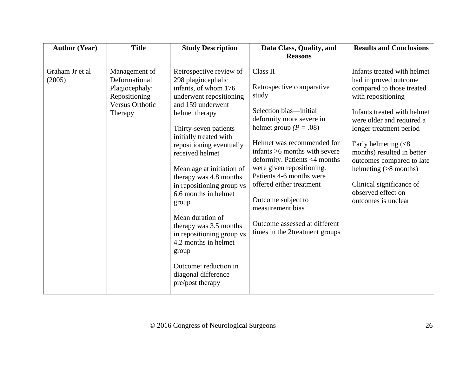| Graham Jr et al<br>Retrospective review of<br>Class II<br>Management of<br>Deformational<br>(2005)<br>298 plagiocephalic<br>Retrospective comparative<br>infants, of whom 176<br>Plagiocephaly:                                                                                                                                                                                                                                                                                                                                                                                                                                                                                                                                                                                                                                                                                                                                                                                                                                       | <b>Author (Year)</b> | <b>Title</b> | <b>Study Description</b> | Data Class, Quality, and<br><b>Reasons</b> | <b>Results and Conclusions</b>                                                                                                                                                                                                                                                            |
|---------------------------------------------------------------------------------------------------------------------------------------------------------------------------------------------------------------------------------------------------------------------------------------------------------------------------------------------------------------------------------------------------------------------------------------------------------------------------------------------------------------------------------------------------------------------------------------------------------------------------------------------------------------------------------------------------------------------------------------------------------------------------------------------------------------------------------------------------------------------------------------------------------------------------------------------------------------------------------------------------------------------------------------|----------------------|--------------|--------------------------|--------------------------------------------|-------------------------------------------------------------------------------------------------------------------------------------------------------------------------------------------------------------------------------------------------------------------------------------------|
| study<br>underwent repositioning<br>with repositioning<br>Repositioning<br>and 159 underwent<br><b>Versus Orthotic</b><br>Selection bias—initial<br>helmet therapy<br>Therapy<br>deformity more severe in<br>helmet group ( $P = .08$ )<br>Thirty-seven patients<br>initially treated with<br>Helmet was recommended for<br>Early helmeting $\left( < 8 \right)$<br>repositioning eventually<br>infants >6 months with severe<br>received helmet<br>deformity. Patients <4 months<br>were given repositioning.<br>Mean age at initiation of<br>Patients 4-6 months were<br>therapy was 4.8 months<br>offered either treatment<br>in repositioning group vs<br>observed effect on<br>6.6 months in helmet<br>Outcome subject to<br>outcomes is unclear<br>group<br>measurement bias<br>Mean duration of<br>Outcome assessed at different<br>therapy was 3.5 months<br>times in the 2treatment groups<br>in repositioning group vs<br>4.2 months in helmet<br>group<br>Outcome: reduction in<br>diagonal difference<br>pre/post therapy |                      |              |                          |                                            | Infants treated with helmet<br>had improved outcome<br>compared to those treated<br>Infants treated with helmet<br>were older and required a<br>longer treatment period<br>months) resulted in better<br>outcomes compared to late<br>helmeting $(>8$ months)<br>Clinical significance of |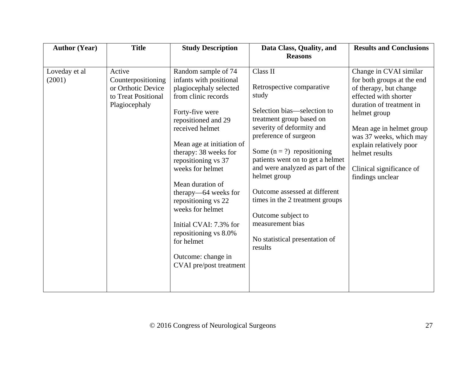| <b>Author (Year)</b>    | <b>Title</b>                                                                               | <b>Study Description</b>                                                                                                                                                                                                                                                                                                                                                                                                                                               | Data Class, Quality, and<br><b>Reasons</b>                                                                                                                                                                                                                                                                                                                                                                                                         | <b>Results and Conclusions</b>                                                                                                                                                                                                                                                                          |
|-------------------------|--------------------------------------------------------------------------------------------|------------------------------------------------------------------------------------------------------------------------------------------------------------------------------------------------------------------------------------------------------------------------------------------------------------------------------------------------------------------------------------------------------------------------------------------------------------------------|----------------------------------------------------------------------------------------------------------------------------------------------------------------------------------------------------------------------------------------------------------------------------------------------------------------------------------------------------------------------------------------------------------------------------------------------------|---------------------------------------------------------------------------------------------------------------------------------------------------------------------------------------------------------------------------------------------------------------------------------------------------------|
| Loveday et al<br>(2001) | Active<br>Counterpositioning<br>or Orthotic Device<br>to Treat Positional<br>Plagiocephaly | Random sample of 74<br>infants with positional<br>plagiocephaly selected<br>from clinic records<br>Forty-five were<br>repositioned and 29<br>received helmet<br>Mean age at initiation of<br>therapy: 38 weeks for<br>repositioning vs 37<br>weeks for helmet<br>Mean duration of<br>therapy—64 weeks for<br>repositioning vs 22<br>weeks for helmet<br>Initial CVAI: 7.3% for<br>repositioning vs 8.0%<br>for helmet<br>Outcome: change in<br>CVAI pre/post treatment | Class II<br>Retrospective comparative<br>study<br>Selection bias—selection to<br>treatment group based on<br>severity of deformity and<br>preference of surgeon<br>Some $(n = ?)$ repositioning<br>patients went on to get a helmet<br>and were analyzed as part of the<br>helmet group<br>Outcome assessed at different<br>times in the 2 treatment groups<br>Outcome subject to<br>measurement bias<br>No statistical presentation of<br>results | Change in CVAI similar<br>for both groups at the end<br>of therapy, but change<br>effected with shorter<br>duration of treatment in<br>helmet group<br>Mean age in helmet group<br>was 37 weeks, which may<br>explain relatively poor<br>helmet results<br>Clinical significance of<br>findings unclear |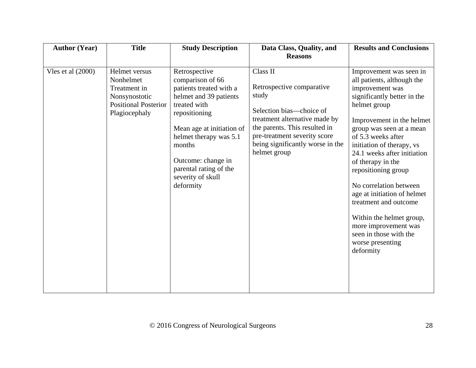| <b>Author (Year)</b> | <b>Title</b>                                                                                                | <b>Study Description</b>                                                                                                                                                                                                                                                   | Data Class, Quality, and<br><b>Reasons</b>                                                                                                                                                                                       | <b>Results and Conclusions</b>                                                                                                                                                                                                                                                                                                                                                                                                                                                                                  |
|----------------------|-------------------------------------------------------------------------------------------------------------|----------------------------------------------------------------------------------------------------------------------------------------------------------------------------------------------------------------------------------------------------------------------------|----------------------------------------------------------------------------------------------------------------------------------------------------------------------------------------------------------------------------------|-----------------------------------------------------------------------------------------------------------------------------------------------------------------------------------------------------------------------------------------------------------------------------------------------------------------------------------------------------------------------------------------------------------------------------------------------------------------------------------------------------------------|
| Vles et al $(2000)$  | Helmet versus<br>Nonhelmet<br>Treatment in<br>Nonsynostotic<br><b>Positional Posterior</b><br>Plagiocephaly | Retrospective<br>comparison of 66<br>patients treated with a<br>helmet and 39 patients<br>treated with<br>repositioning<br>Mean age at initiation of<br>helmet therapy was 5.1<br>months<br>Outcome: change in<br>parental rating of the<br>severity of skull<br>deformity | Class II<br>Retrospective comparative<br>study<br>Selection bias—choice of<br>treatment alternative made by<br>the parents. This resulted in<br>pre-treatment severity score<br>being significantly worse in the<br>helmet group | Improvement was seen in<br>all patients, although the<br>improvement was<br>significantly better in the<br>helmet group<br>Improvement in the helmet<br>group was seen at a mean<br>of 5.3 weeks after<br>initiation of therapy, vs<br>24.1 weeks after initiation<br>of therapy in the<br>repositioning group<br>No correlation between<br>age at initiation of helmet<br>treatment and outcome<br>Within the helmet group,<br>more improvement was<br>seen in those with the<br>worse presenting<br>deformity |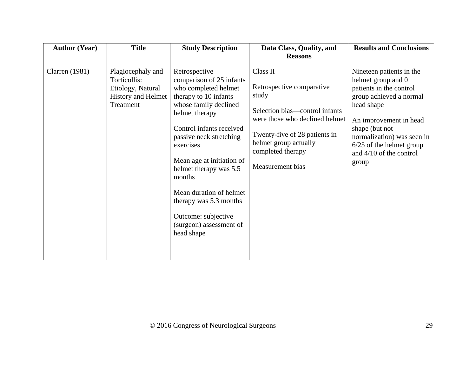| <b>Author (Year)</b>  | <b>Title</b>                                                                                     | <b>Study Description</b>                                                                                                                                                                                                                                                                                                                                                                        | Data Class, Quality, and                                                                                                                                                                                              | <b>Results and Conclusions</b>                                                                                                                                                                                                                                   |
|-----------------------|--------------------------------------------------------------------------------------------------|-------------------------------------------------------------------------------------------------------------------------------------------------------------------------------------------------------------------------------------------------------------------------------------------------------------------------------------------------------------------------------------------------|-----------------------------------------------------------------------------------------------------------------------------------------------------------------------------------------------------------------------|------------------------------------------------------------------------------------------------------------------------------------------------------------------------------------------------------------------------------------------------------------------|
|                       |                                                                                                  |                                                                                                                                                                                                                                                                                                                                                                                                 | <b>Reasons</b>                                                                                                                                                                                                        |                                                                                                                                                                                                                                                                  |
| <b>Clarren</b> (1981) | Plagiocephaly and<br>Torticollis:<br>Etiology, Natural<br><b>History and Helmet</b><br>Treatment | Retrospective<br>comparison of 25 infants<br>who completed helmet<br>therapy to 10 infants<br>whose family declined<br>helmet therapy<br>Control infants received<br>passive neck stretching<br>exercises<br>Mean age at initiation of<br>helmet therapy was 5.5<br>months<br>Mean duration of helmet<br>therapy was 5.3 months<br>Outcome: subjective<br>(surgeon) assessment of<br>head shape | Class II<br>Retrospective comparative<br>study<br>Selection bias—control infants<br>were those who declined helmet<br>Twenty-five of 28 patients in<br>helmet group actually<br>completed therapy<br>Measurement bias | Nineteen patients in the<br>helmet group and 0<br>patients in the control<br>group achieved a normal<br>head shape<br>An improvement in head<br>shape (but not<br>normalization) was seen in<br>$6/25$ of the helmet group<br>and $4/10$ of the control<br>group |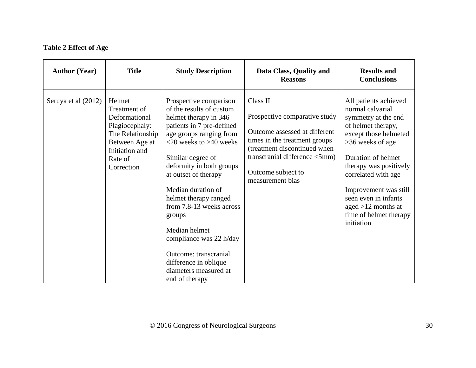# **Table 2 Effect of Age**

<span id="page-29-0"></span>

| <b>Author (Year)</b> | <b>Title</b>                                                                                                                               | <b>Study Description</b>                                                                                                                                                                                                                                                                                                                                                                                                                                                | Data Class, Quality and<br><b>Reasons</b>                                                                                                                                                                              | <b>Results and</b><br><b>Conclusions</b>                                                                                                                                                                                                                                                                                    |
|----------------------|--------------------------------------------------------------------------------------------------------------------------------------------|-------------------------------------------------------------------------------------------------------------------------------------------------------------------------------------------------------------------------------------------------------------------------------------------------------------------------------------------------------------------------------------------------------------------------------------------------------------------------|------------------------------------------------------------------------------------------------------------------------------------------------------------------------------------------------------------------------|-----------------------------------------------------------------------------------------------------------------------------------------------------------------------------------------------------------------------------------------------------------------------------------------------------------------------------|
| Seruya et al (2012)  | Helmet<br>Treatment of<br>Deformational<br>Plagiocephaly:<br>The Relationship<br>Between Age at<br>Initiation and<br>Rate of<br>Correction | Prospective comparison<br>of the results of custom<br>helmet therapy in 346<br>patients in 7 pre-defined<br>age groups ranging from<br>$<$ 20 weeks to >40 weeks<br>Similar degree of<br>deformity in both groups<br>at outset of therapy<br>Median duration of<br>helmet therapy ranged<br>from 7.8-13 weeks across<br>groups<br>Median helmet<br>compliance was 22 h/day<br>Outcome: transcranial<br>difference in oblique<br>diameters measured at<br>end of therapy | Class II<br>Prospective comparative study<br>Outcome assessed at different<br>times in the treatment groups<br>(treatment discontinued when<br>transcranial difference <5mm)<br>Outcome subject to<br>measurement bias | All patients achieved<br>normal calvarial<br>symmetry at the end<br>of helmet therapy,<br>except those helmeted<br>>36 weeks of age<br>Duration of helmet<br>therapy was positively<br>correlated with age<br>Improvement was still<br>seen even in infants<br>aged $>12$ months at<br>time of helmet therapy<br>initiation |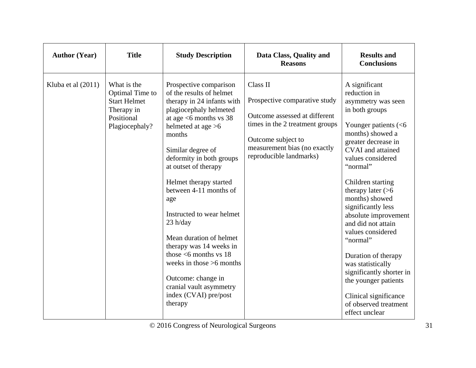| <b>Author (Year)</b> | <b>Title</b>                                                                                        | <b>Study Description</b>                                                                                                                                                                                                                                                                                                                                                                                                                                                                                                                                      | Data Class, Quality and<br><b>Reasons</b>                                                                                                                                                      | <b>Results and</b><br><b>Conclusions</b>                                                                                                                                                                                                                                                                                                                                                                                                                                                                                                      |
|----------------------|-----------------------------------------------------------------------------------------------------|---------------------------------------------------------------------------------------------------------------------------------------------------------------------------------------------------------------------------------------------------------------------------------------------------------------------------------------------------------------------------------------------------------------------------------------------------------------------------------------------------------------------------------------------------------------|------------------------------------------------------------------------------------------------------------------------------------------------------------------------------------------------|-----------------------------------------------------------------------------------------------------------------------------------------------------------------------------------------------------------------------------------------------------------------------------------------------------------------------------------------------------------------------------------------------------------------------------------------------------------------------------------------------------------------------------------------------|
| Kluba et al $(2011)$ | What is the<br>Optimal Time to<br><b>Start Helmet</b><br>Therapy in<br>Positional<br>Plagiocephaly? | Prospective comparison<br>of the results of helmet<br>therapy in 24 infants with<br>plagiocephaly helmeted<br>at age $<$ 6 months vs 38<br>helmeted at age $>6$<br>months<br>Similar degree of<br>deformity in both groups<br>at outset of therapy<br>Helmet therapy started<br>between 4-11 months of<br>age<br>Instructed to wear helmet<br>$23$ h/day<br>Mean duration of helmet<br>therapy was 14 weeks in<br>those $<$ 6 months vs 18<br>weeks in those $>6$ months<br>Outcome: change in<br>cranial vault asymmetry<br>index (CVAI) pre/post<br>therapy | Class II<br>Prospective comparative study<br>Outcome assessed at different<br>times in the 2 treatment groups<br>Outcome subject to<br>measurement bias (no exactly<br>reproducible landmarks) | A significant<br>reduction in<br>asymmetry was seen<br>in both groups<br>Younger patients $(< 6$<br>months) showed a<br>greater decrease in<br><b>CVAI</b> and attained<br>values considered<br>"normal"<br>Children starting<br>therapy later $($<br>months) showed<br>significantly less<br>absolute improvement<br>and did not attain<br>values considered<br>"normal"<br>Duration of therapy<br>was statistically<br>significantly shorter in<br>the younger patients<br>Clinical significance<br>of observed treatment<br>effect unclear |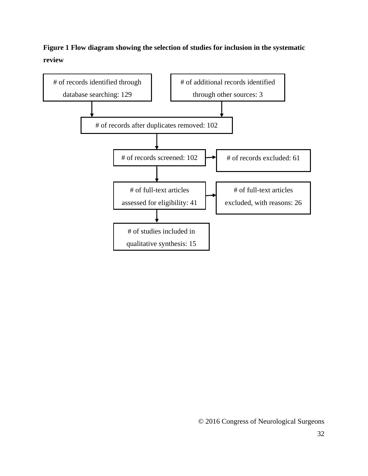# **Figure 1 Flow diagram showing the selection of studies for inclusion in the systematic review**

<span id="page-31-0"></span>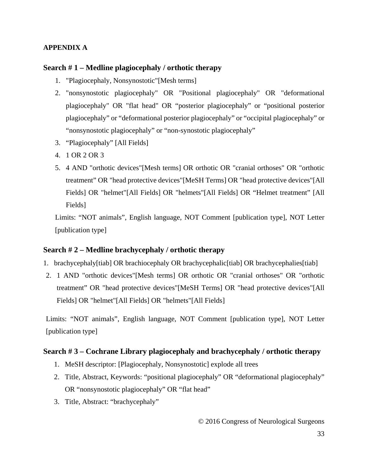## **APPENDIX A**

## **Search # 1 – Medline plagiocephaly / orthotic therapy**

- 1. "Plagiocephaly, Nonsynostotic"[Mesh terms]
- 2. "nonsynostotic plagiocephaly" OR "Positional plagiocephaly" OR "deformational plagiocephaly" OR "flat head" OR "posterior plagiocephaly" or "positional posterior plagiocephaly" or "deformational posterior plagiocephaly" or "occipital plagiocephaly" or "nonsynostotic plagiocephaly" or "non-synostotic plagiocephaly"
- 3. "Plagiocephaly" [All Fields]
- 4. 1 OR 2 OR 3
- 5. 4 AND "orthotic devices"[Mesh terms] OR orthotic OR "cranial orthoses" OR "orthotic treatment" OR "head protective devices"[MeSH Terms] OR "head protective devices"[All Fields] OR "helmet"[All Fields] OR "helmets"[All Fields] OR "Helmet treatment" [All Fields]

Limits: "NOT animals", English language, NOT Comment [publication type], NOT Letter [publication type]

## **Search # 2 – Medline brachycephaly / orthotic therapy**

- 1. brachycephaly[tiab] OR brachiocephaly OR brachycephalic[tiab] OR brachycephalies[tiab]
- 2. 1 AND "orthotic devices"[Mesh terms] OR orthotic OR "cranial orthoses" OR "orthotic treatment" OR "head protective devices"[MeSH Terms] OR "head protective devices"[All Fields] OR "helmet"[All Fields] OR "helmets"[All Fields]

Limits: "NOT animals", English language, NOT Comment [publication type], NOT Letter [publication type]

## **Search # 3 – Cochrane Library plagiocephaly and brachycephaly / orthotic therapy**

- 1. MeSH descriptor: [Plagiocephaly, Nonsynostotic] explode all trees
- 2. Title, Abstract, Keywords: "positional plagiocephaly" OR "deformational plagiocephaly" OR "nonsynostotic plagiocephaly" OR "flat head"
- 3. Title, Abstract: "brachycephaly"